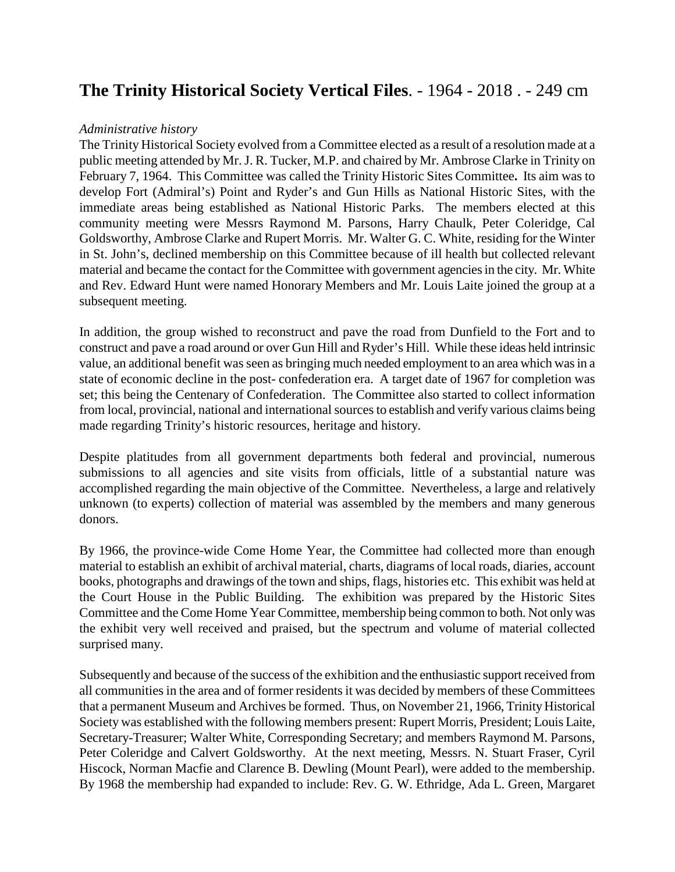# **The Trinity Historical Society Vertical Files**. - 1964 - 2018 . - 249 cm

#### *Administrative history*

The Trinity Historical Society evolved from a Committee elected as a result of a resolution made at a public meeting attended by Mr. J. R. Tucker, M.P. and chaired by Mr. Ambrose Clarke in Trinity on February 7, 1964. This Committee was called the Trinity Historic Sites Committee**.** Its aim was to develop Fort (Admiral's) Point and Ryder's and Gun Hills as National Historic Sites, with the immediate areas being established as National Historic Parks. The members elected at this community meeting were Messrs Raymond M. Parsons, Harry Chaulk, Peter Coleridge, Cal Goldsworthy, Ambrose Clarke and Rupert Morris. Mr. Walter G. C. White, residing for the Winter in St. John's, declined membership on this Committee because of ill health but collected relevant material and became the contact for the Committee with government agencies in the city. Mr. White and Rev. Edward Hunt were named Honorary Members and Mr. Louis Laite joined the group at a subsequent meeting.

In addition, the group wished to reconstruct and pave the road from Dunfield to the Fort and to construct and pave a road around or over Gun Hill and Ryder's Hill. While these ideas held intrinsic value, an additional benefit was seen as bringing much needed employment to an area which was in a state of economic decline in the post- confederation era. A target date of 1967 for completion was set; this being the Centenary of Confederation. The Committee also started to collect information from local, provincial, national and international sources to establish and verify various claims being made regarding Trinity's historic resources, heritage and history.

Despite platitudes from all government departments both federal and provincial, numerous submissions to all agencies and site visits from officials, little of a substantial nature was accomplished regarding the main objective of the Committee. Nevertheless, a large and relatively unknown (to experts) collection of material was assembled by the members and many generous donors.

By 1966, the province-wide Come Home Year, the Committee had collected more than enough material to establish an exhibit of archival material, charts, diagrams of local roads, diaries, account books, photographs and drawings of the town and ships, flags, histories etc. This exhibit was held at the Court House in the Public Building. The exhibition was prepared by the Historic Sites Committee and the Come Home Year Committee, membership being common to both. Not only was the exhibit very well received and praised, but the spectrum and volume of material collected surprised many.

Subsequently and because of the success of the exhibition and the enthusiastic support received from all communities in the area and of former residents it was decided by members of these Committees that a permanent Museum and Archives be formed. Thus, on November 21, 1966, Trinity Historical Society was established with the following members present: Rupert Morris, President; Louis Laite, Secretary-Treasurer; Walter White, Corresponding Secretary; and members Raymond M. Parsons, Peter Coleridge and Calvert Goldsworthy. At the next meeting, Messrs. N. Stuart Fraser, Cyril Hiscock, Norman Macfie and Clarence B. Dewling (Mount Pearl), were added to the membership. By 1968 the membership had expanded to include: Rev. G. W. Ethridge, Ada L. Green, Margaret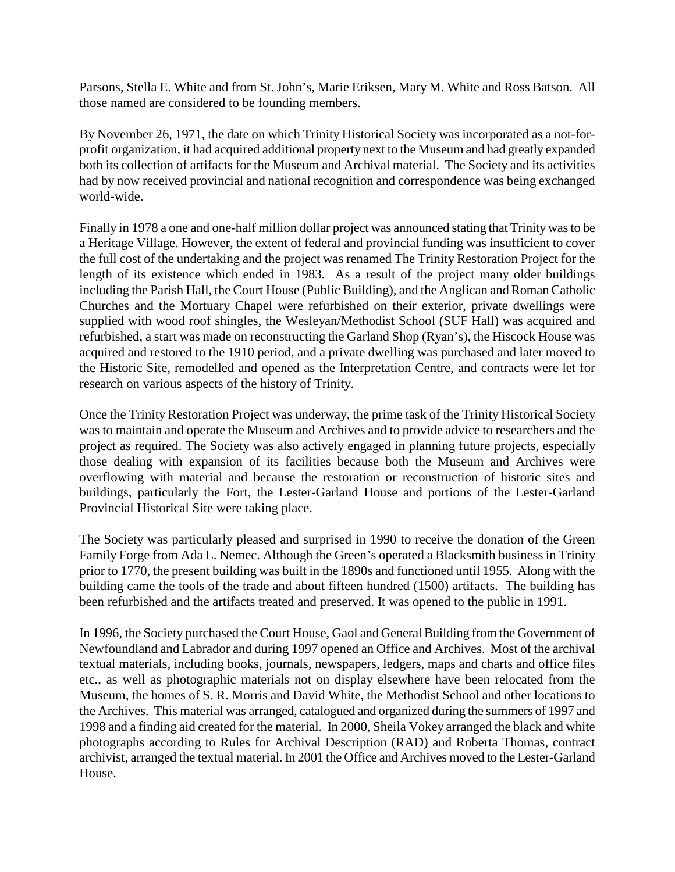Parsons, Stella E. White and from St. John's, Marie Eriksen, Mary M. White and Ross Batson. All those named are considered to be founding members.

By November 26, 1971, the date on which Trinity Historical Society was incorporated as a not-forprofit organization, it had acquired additional property next to the Museum and had greatly expanded both its collection of artifacts for the Museum and Archival material. The Society and its activities had by now received provincial and national recognition and correspondence was being exchanged world-wide.

Finally in 1978 a one and one-half million dollar project was announced stating that Trinity was to be a Heritage Village. However, the extent of federal and provincial funding was insufficient to cover the full cost of the undertaking and the project was renamed The Trinity Restoration Project for the length of its existence which ended in 1983. As a result of the project many older buildings including the Parish Hall, the Court House (Public Building), and the Anglican and Roman Catholic Churches and the Mortuary Chapel were refurbished on their exterior, private dwellings were supplied with wood roof shingles, the Wesleyan/Methodist School (SUF Hall) was acquired and refurbished, a start was made on reconstructing the Garland Shop (Ryan's), the Hiscock House was acquired and restored to the 1910 period, and a private dwelling was purchased and later moved to the Historic Site, remodelled and opened as the Interpretation Centre, and contracts were let for research on various aspects of the history of Trinity.

Once the Trinity Restoration Project was underway, the prime task of the Trinity Historical Society was to maintain and operate the Museum and Archives and to provide advice to researchers and the project as required. The Society was also actively engaged in planning future projects, especially those dealing with expansion of its facilities because both the Museum and Archives were overflowing with material and because the restoration or reconstruction of historic sites and buildings, particularly the Fort, the Lester-Garland House and portions of the Lester-Garland Provincial Historical Site were taking place.

The Society was particularly pleased and surprised in 1990 to receive the donation of the Green Family Forge from Ada L. Nemec. Although the Green's operated a Blacksmith business in Trinity prior to 1770, the present building was built in the 1890s and functioned until 1955. Along with the building came the tools of the trade and about fifteen hundred (1500) artifacts. The building has been refurbished and the artifacts treated and preserved. It was opened to the public in 1991.

In 1996, the Society purchased the Court House, Gaol and General Building from the Government of Newfoundland and Labrador and during 1997 opened an Office and Archives. Most of the archival textual materials, including books, journals, newspapers, ledgers, maps and charts and office files etc., as well as photographic materials not on display elsewhere have been relocated from the Museum, the homes of S. R. Morris and David White, the Methodist School and other locations to the Archives. This material was arranged, catalogued and organized during the summers of 1997 and 1998 and a finding aid created for the material. In 2000, Sheila Vokey arranged the black and white photographs according to Rules for Archival Description (RAD) and Roberta Thomas, contract archivist, arranged the textual material. In 2001 the Office and Archives moved to the Lester-Garland House.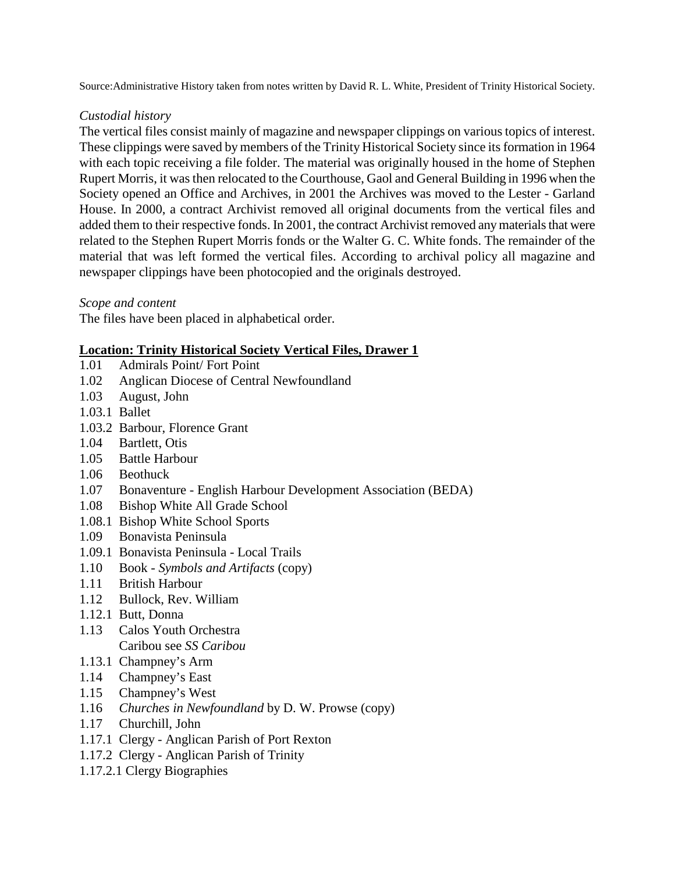Source:Administrative History taken from notes written by David R. L. White, President of Trinity Historical Society.

### *Custodial history*

The vertical files consist mainly of magazine and newspaper clippings on various topics of interest. These clippings were saved by members of the Trinity Historical Society since its formation in 1964 with each topic receiving a file folder. The material was originally housed in the home of Stephen Rupert Morris, it was then relocated to the Courthouse, Gaol and General Building in 1996 when the Society opened an Office and Archives, in 2001 the Archives was moved to the Lester - Garland House. In 2000, a contract Archivist removed all original documents from the vertical files and added them to their respective fonds. In 2001, the contract Archivist removed any materials that were related to the Stephen Rupert Morris fonds or the Walter G. C. White fonds. The remainder of the material that was left formed the vertical files. According to archival policy all magazine and newspaper clippings have been photocopied and the originals destroyed.

*Scope and content*

The files have been placed in alphabetical order.

### **Location: Trinity Historical Society Vertical Files, Drawer 1**

- 1.01 Admirals Point/ Fort Point
- 1.02 Anglican Diocese of Central Newfoundland
- 1.03 August, John
- 1.03.1 Ballet
- 1.03.2 Barbour, Florence Grant
- 1.04 Bartlett, Otis
- 1.05 Battle Harbour
- 1.06 Beothuck
- 1.07 Bonaventure English Harbour Development Association (BEDA)
- 1.08 Bishop White All Grade School
- 1.08.1 Bishop White School Sports
- 1.09 Bonavista Peninsula
- 1.09.1 Bonavista Peninsula Local Trails
- 1.10 Book *Symbols and Artifacts* (copy)
- 1.11 British Harbour
- 1.12 Bullock, Rev. William
- 1.12.1 Butt, Donna
- 1.13 Calos Youth Orchestra Caribou see *SS Caribou*
- 1.13.1 Champney's Arm
- 1.14 Champney's East
- 1.15 Champney's West
- 1.16 *Churches in Newfoundland* by D. W. Prowse (copy)
- 1.17 Churchill, John
- 1.17.1 Clergy Anglican Parish of Port Rexton
- 1.17.2 Clergy Anglican Parish of Trinity
- 1.17.2.1 Clergy Biographies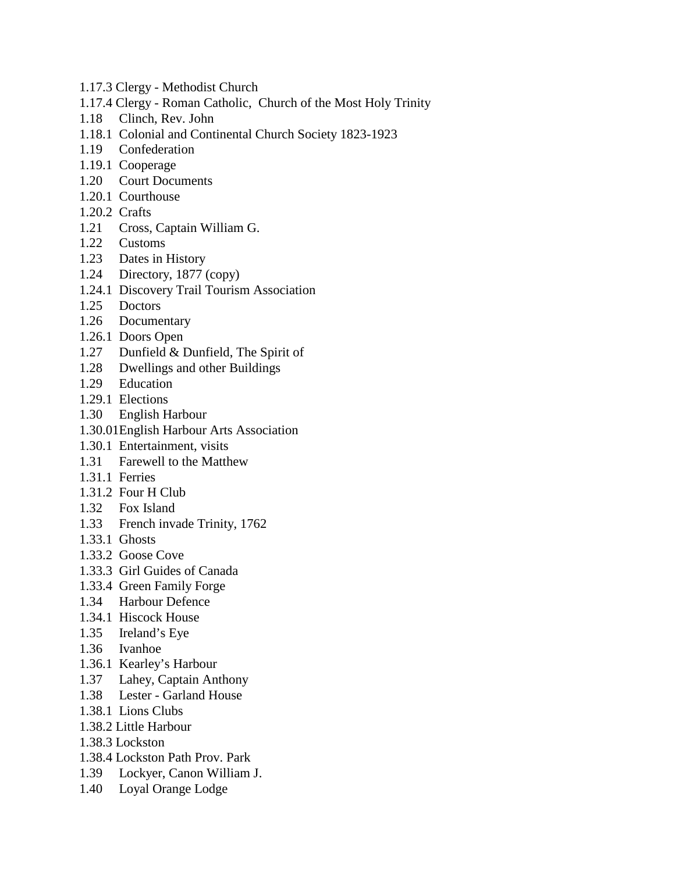- 1.17.3 Clergy Methodist Church
- 1.17.4 Clergy Roman Catholic, Church of the Most Holy Trinity
- 1.18 Clinch, Rev. John
- 1.18.1 Colonial and Continental Church Society 1823-1923
- 1.19 Confederation
- 1.19.1 Cooperage
- 1.20 Court Documents
- 1.20.1 Courthouse
- 1.20.2 Crafts
- 1.21 Cross, Captain William G.
- 1.22 Customs
- 1.23 Dates in History
- 1.24 Directory, 1877 (copy)
- 1.24.1 Discovery Trail Tourism Association
- 1.25 Doctors
- 1.26 Documentary
- 1.26.1 Doors Open
- 1.27 Dunfield & Dunfield, The Spirit of
- 1.28 Dwellings and other Buildings
- 1.29 Education
- 1.29.1 Elections
- 1.30 English Harbour
- 1.30.01English Harbour Arts Association
- 1.30.1 Entertainment, visits
- 1.31 Farewell to the Matthew
- 1.31.1 Ferries
- 1.31.2 Four H Club
- 1.32 Fox Island
- 1.33 French invade Trinity, 1762
- 1.33.1 Ghosts
- 1.33.2 Goose Cove
- 1.33.3 Girl Guides of Canada
- 1.33.4 Green Family Forge
- 1.34 Harbour Defence
- 1.34.1 Hiscock House
- 1.35 Ireland's Eye
- 1.36 Ivanhoe
- 1.36.1 Kearley's Harbour
- 1.37 Lahey, Captain Anthony
- 1.38 Lester Garland House
- 1.38.1 Lions Clubs
- 1.38.2 Little Harbour
- 1.38.3 Lockston
- 1.38.4 Lockston Path Prov. Park
- 1.39 Lockyer, Canon William J.
- 1.40 Loyal Orange Lodge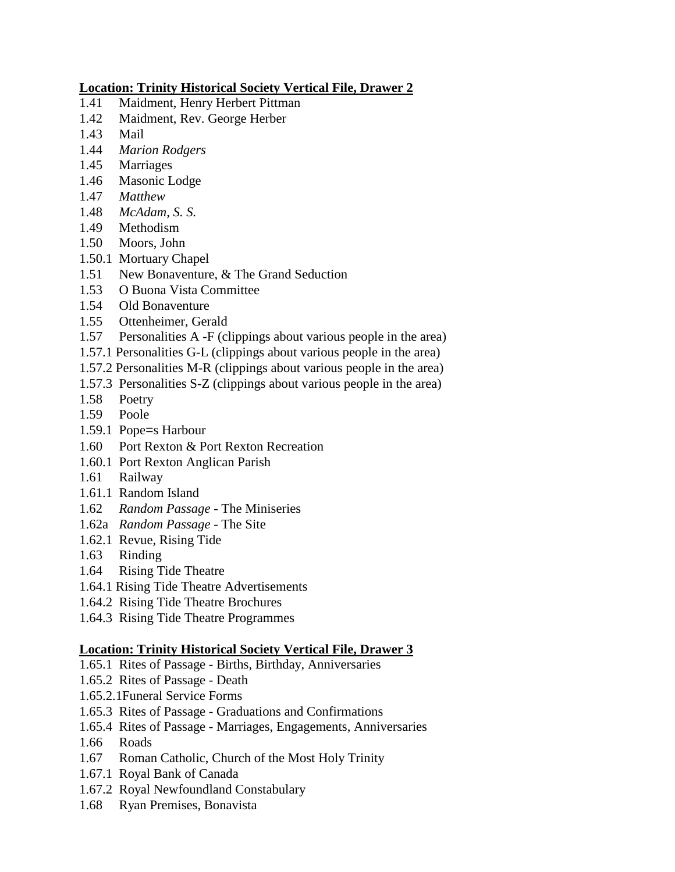## **Location: Trinity Historical Society Vertical File, Drawer 2**

- 1.41 Maidment, Henry Herbert Pittman
- 1.42 Maidment, Rev. George Herber
- 1.43 Mail
- 1.44 *Marion Rodgers*
- 1.45 Marriages
- 1.46 Masonic Lodge
- 1.47 *Matthew*
- 1.48 *McAdam, S. S.*
- 1.49 Methodism
- 1.50 Moors, John
- 1.50.1 Mortuary Chapel
- 1.51 New Bonaventure, & The Grand Seduction
- 1.53 O Buona Vista Committee
- 1.54 Old Bonaventure
- 1.55 Ottenheimer, Gerald
- 1.57 Personalities A -F (clippings about various people in the area)
- 1.57.1 Personalities G-L (clippings about various people in the area)
- 1.57.2 Personalities M-R (clippings about various people in the area)
- 1.57.3 Personalities S-Z (clippings about various people in the area)
- 1.58 Poetry
- 1.59 Poole
- 1.59.1 Pope=s Harbour
- 1.60 Port Rexton & Port Rexton Recreation
- 1.60.1 Port Rexton Anglican Parish
- 1.61 Railway
- 1.61.1 Random Island
- 1.62 *Random Passage* The Miniseries
- 1.62a *Random Passage* The Site
- 1.62.1 Revue, Rising Tide
- 1.63 Rinding
- 1.64 Rising Tide Theatre
- 1.64.1 Rising Tide Theatre Advertisements
- 1.64.2 Rising Tide Theatre Brochures
- 1.64.3 Rising Tide Theatre Programmes

## **Location: Trinity Historical Society Vertical File, Drawer 3**

- 1.65.1 Rites of Passage Births, Birthday, Anniversaries
- 1.65.2 Rites of Passage Death
- 1.65.2.1Funeral Service Forms
- 1.65.3 Rites of Passage Graduations and Confirmations
- 1.65.4 Rites of Passage Marriages, Engagements, Anniversaries
- 1.66 Roads
- 1.67 Roman Catholic, Church of the Most Holy Trinity
- 1.67.1 Royal Bank of Canada
- 1.67.2 Royal Newfoundland Constabulary
- 1.68 Ryan Premises, Bonavista